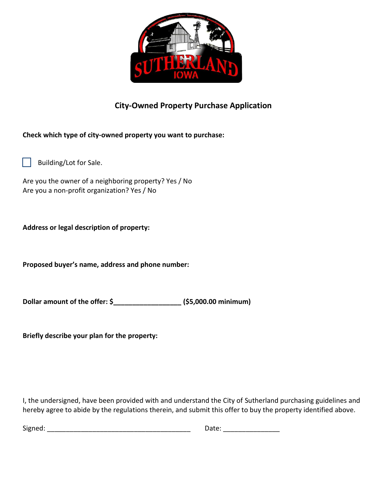

## **City-Owned Property Purchase Application**

**Check which type of city-owned property you want to purchase:**

Building/Lot for Sale.

Are you the owner of a neighboring property? Yes / No Are you a non-profit organization? Yes / No

**Address or legal description of property:**

**Proposed buyer's name, address and phone number:**

**Dollar amount of the offer: \$\_\_\_\_\_\_\_\_\_\_\_\_\_\_\_\_\_\_ (\$5,000.00 minimum)** 

**Briefly describe your plan for the property:**

I, the undersigned, have been provided with and understand the City of Sutherland purchasing guidelines and hereby agree to abide by the regulations therein, and submit this offer to buy the property identified above.

| The company<br><b>Signed</b><br>. | $\overline{\phantom{a}}$ |
|-----------------------------------|--------------------------|
|-----------------------------------|--------------------------|